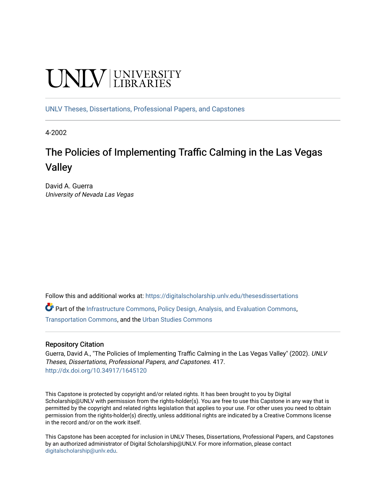# **UNIVERSITY**

[UNLV Theses, Dissertations, Professional Papers, and Capstones](https://digitalscholarship.unlv.edu/thesesdissertations)

4-2002

# The Policies of Implementing Traffic Calming in the Las Vegas Valley

David A. Guerra University of Nevada Las Vegas

Follow this and additional works at: [https://digitalscholarship.unlv.edu/thesesdissertations](https://digitalscholarship.unlv.edu/thesesdissertations?utm_source=digitalscholarship.unlv.edu%2Fthesesdissertations%2F417&utm_medium=PDF&utm_campaign=PDFCoverPages)

Part of the [Infrastructure Commons](http://network.bepress.com/hgg/discipline/1066?utm_source=digitalscholarship.unlv.edu%2Fthesesdissertations%2F417&utm_medium=PDF&utm_campaign=PDFCoverPages), [Policy Design, Analysis, and Evaluation Commons](http://network.bepress.com/hgg/discipline/1032?utm_source=digitalscholarship.unlv.edu%2Fthesesdissertations%2F417&utm_medium=PDF&utm_campaign=PDFCoverPages), [Transportation Commons](http://network.bepress.com/hgg/discipline/1068?utm_source=digitalscholarship.unlv.edu%2Fthesesdissertations%2F417&utm_medium=PDF&utm_campaign=PDFCoverPages), and the [Urban Studies Commons](http://network.bepress.com/hgg/discipline/402?utm_source=digitalscholarship.unlv.edu%2Fthesesdissertations%2F417&utm_medium=PDF&utm_campaign=PDFCoverPages) 

#### Repository Citation

Guerra, David A., "The Policies of Implementing Traffic Calming in the Las Vegas Valley" (2002). UNLV Theses, Dissertations, Professional Papers, and Capstones. 417. <http://dx.doi.org/10.34917/1645120>

This Capstone is protected by copyright and/or related rights. It has been brought to you by Digital Scholarship@UNLV with permission from the rights-holder(s). You are free to use this Capstone in any way that is permitted by the copyright and related rights legislation that applies to your use. For other uses you need to obtain permission from the rights-holder(s) directly, unless additional rights are indicated by a Creative Commons license in the record and/or on the work itself.

This Capstone has been accepted for inclusion in UNLV Theses, Dissertations, Professional Papers, and Capstones by an authorized administrator of Digital Scholarship@UNLV. For more information, please contact [digitalscholarship@unlv.edu](mailto:digitalscholarship@unlv.edu).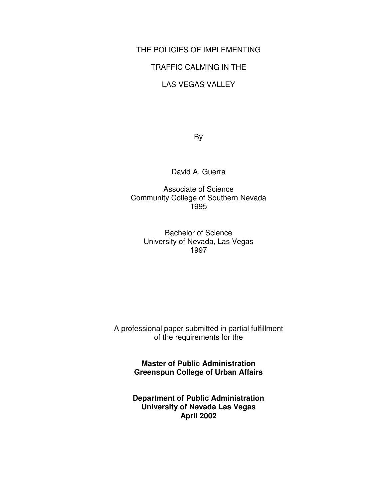### THE POLICIES OF IMPLEMENTING

#### TRAFFIC CALMING IN THE

#### LAS VEGAS VALLEY

By

David A. Guerra

Associate of Science Community College of Southern Nevada 1995

Bachelor of Science University of Nevada, Las Vegas 1997

A professional paper submitted in partial fulfillment of the requirements for the

> **Master of Public Administration Greenspun College of Urban Affairs**

> **Department of Public Administration University of Nevada Las Vegas April 2002**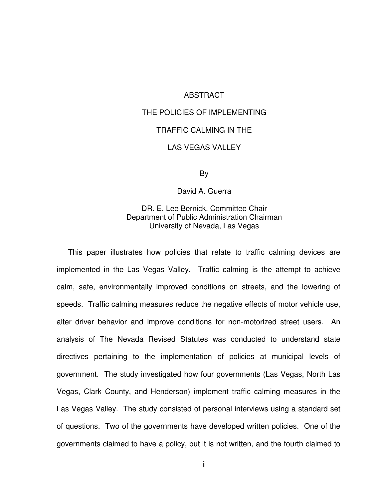#### ABSTRACT

# THE POLICIES OF IMPLEMENTING TRAFFIC CALMING IN THE LAS VEGAS VALLEY

By

David A. Guerra

#### DR. E. Lee Bernick, Committee Chair Department of Public Administration Chairman University of Nevada, Las Vegas

This paper illustrates how policies that relate to traffic calming devices are implemented in the Las Vegas Valley. Traffic calming is the attempt to achieve calm, safe, environmentally improved conditions on streets, and the lowering of speeds. Traffic calming measures reduce the negative effects of motor vehicle use, alter driver behavior and improve conditions for non-motorized street users. An analysis of The Nevada Revised Statutes was conducted to understand state directives pertaining to the implementation of policies at municipal levels of government. The study investigated how four governments (Las Vegas, North Las Vegas, Clark County, and Henderson) implement traffic calming measures in the Las Vegas Valley. The study consisted of personal interviews using a standard set of questions. Two of the governments have developed written policies. One of the governments claimed to have a policy, but it is not written, and the fourth claimed to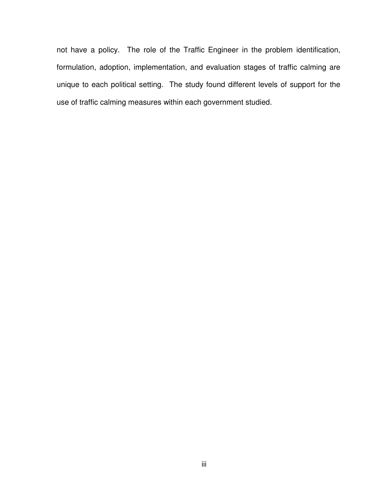not have a policy. The role of the Traffic Engineer in the problem identification, formulation, adoption, implementation, and evaluation stages of traffic calming are unique to each political setting. The study found different levels of support for the use of traffic calming measures within each government studied.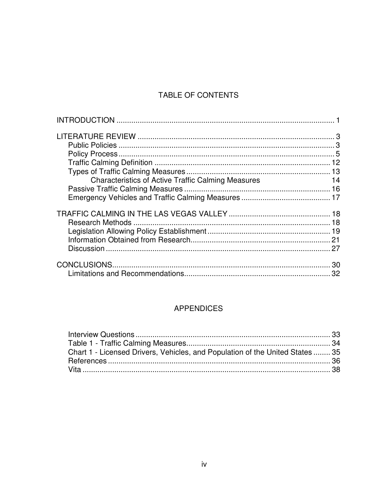## TABLE OF CONTENTS

| <b>Characteristics of Active Traffic Calming Measures</b> | $\overline{14}$ |
|-----------------------------------------------------------|-----------------|
|                                                           |                 |
|                                                           |                 |
|                                                           |                 |
|                                                           |                 |
|                                                           |                 |
|                                                           |                 |
|                                                           |                 |
|                                                           |                 |
|                                                           |                 |

## **APPENDICES**

| Chart 1 - Licensed Drivers, Vehicles, and Population of the United States  35 |  |
|-------------------------------------------------------------------------------|--|
|                                                                               |  |
|                                                                               |  |
|                                                                               |  |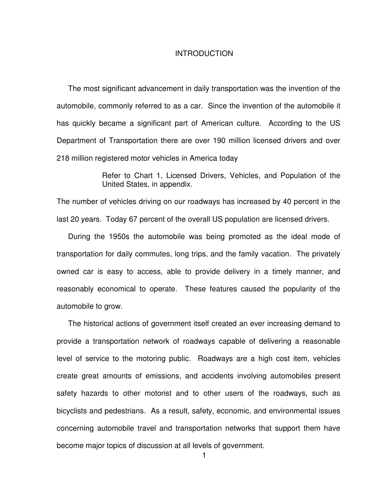#### **INTRODUCTION**

The most significant advancement in daily transportation was the invention of the automobile, commonly referred to as a car. Since the invention of the automobile it has quickly became a significant part of American culture. According to the US Department of Transportation there are over 190 million licensed drivers and over 218 million registered motor vehicles in America today

> Refer to Chart 1, Licensed Drivers, Vehicles, and Population of the United States, in appendix.

The number of vehicles driving on our roadways has increased by 40 percent in the last 20 years. Today 67 percent of the overall US population are licensed drivers.

During the 1950s the automobile was being promoted as the ideal mode of transportation for daily commutes, long trips, and the family vacation. The privately owned car is easy to access, able to provide delivery in a timely manner, and reasonably economical to operate. These features caused the popularity of the automobile to grow.

The historical actions of government itself created an ever increasing demand to provide a transportation network of roadways capable of delivering a reasonable level of service to the motoring public. Roadways are a high cost item, vehicles create great amounts of emissions, and accidents involving automobiles present safety hazards to other motorist and to other users of the roadways, such as bicyclists and pedestrians. As a result, safety, economic, and environmental issues concerning automobile travel and transportation networks that support them have become major topics of discussion at all levels of government.

1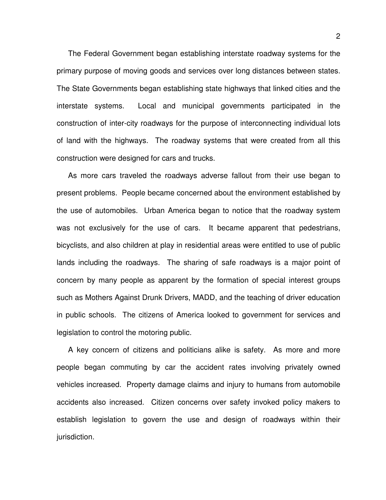The Federal Government began establishing interstate roadway systems for the primary purpose of moving goods and services over long distances between states. The State Governments began establishing state highways that linked cities and the interstate systems. Local and municipal governments participated in the construction of inter-city roadways for the purpose of interconnecting individual lots of land with the highways. The roadway systems that were created from all this construction were designed for cars and trucks.

As more cars traveled the roadways adverse fallout from their use began to present problems. People became concerned about the environment established by the use of automobiles. Urban America began to notice that the roadway system was not exclusively for the use of cars. It became apparent that pedestrians, bicyclists, and also children at play in residential areas were entitled to use of public lands including the roadways. The sharing of safe roadways is a major point of concern by many people as apparent by the formation of special interest groups such as Mothers Against Drunk Drivers, MADD, and the teaching of driver education in public schools. The citizens of America looked to government for services and legislation to control the motoring public.

A key concern of citizens and politicians alike is safety. As more and more people began commuting by car the accident rates involving privately owned vehicles increased. Property damage claims and injury to humans from automobile accidents also increased. Citizen concerns over safety invoked policy makers to establish legislation to govern the use and design of roadways within their jurisdiction.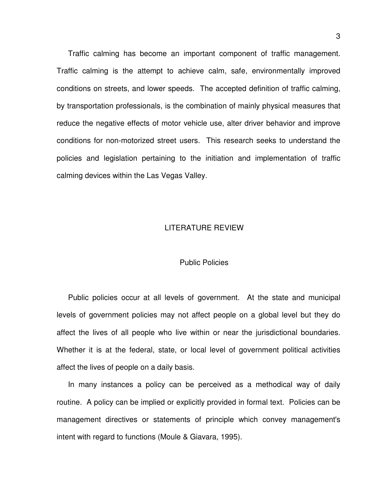Traffic calming has become an important component of traffic management. Traffic calming is the attempt to achieve calm, safe, environmentally improved conditions on streets, and lower speeds. The accepted definition of traffic calming, by transportation professionals, is the combination of mainly physical measures that reduce the negative effects of motor vehicle use, alter driver behavior and improve conditions for non-motorized street users. This research seeks to understand the policies and legislation pertaining to the initiation and implementation of traffic calming devices within the Las Vegas Valley.

#### LITERATURE REVIEW

#### Public Policies

Public policies occur at all levels of government. At the state and municipal levels of government policies may not affect people on a global level but they do affect the lives of all people who live within or near the jurisdictional boundaries. Whether it is at the federal, state, or local level of government political activities affect the lives of people on a daily basis.

In many instances a policy can be perceived as a methodical way of daily routine. A policy can be implied or explicitly provided in formal text. Policies can be management directives or statements of principle which convey management's intent with regard to functions (Moule & Giavara, 1995).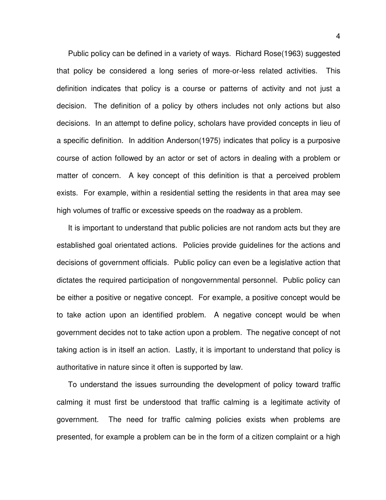Public policy can be defined in a variety of ways. Richard Rose(1963) suggested that policy be considered a long series of more-or-less related activities. This definition indicates that policy is a course or patterns of activity and not just a decision. The definition of a policy by others includes not only actions but also decisions. In an attempt to define policy, scholars have provided concepts in lieu of a specific definition. In addition Anderson(1975) indicates that policy is a purposive course of action followed by an actor or set of actors in dealing with a problem or matter of concern. A key concept of this definition is that a perceived problem exists. For example, within a residential setting the residents in that area may see high volumes of traffic or excessive speeds on the roadway as a problem.

It is important to understand that public policies are not random acts but they are established goal orientated actions. Policies provide guidelines for the actions and decisions of government officials. Public policy can even be a legislative action that dictates the required participation of nongovernmental personnel. Public policy can be either a positive or negative concept. For example, a positive concept would be to take action upon an identified problem. A negative concept would be when government decides not to take action upon a problem. The negative concept of not taking action is in itself an action. Lastly, it is important to understand that policy is authoritative in nature since it often is supported by law.

To understand the issues surrounding the development of policy toward traffic calming it must first be understood that traffic calming is a legitimate activity of government. The need for traffic calming policies exists when problems are presented, for example a problem can be in the form of a citizen complaint or a high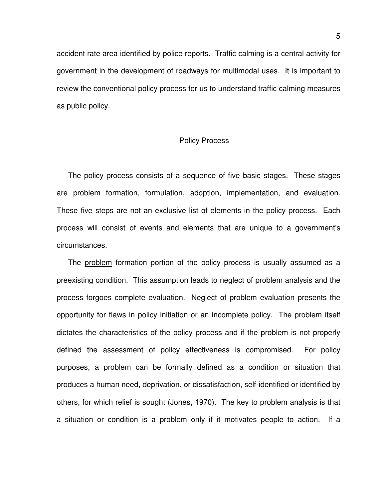accident rate area identified by police reports. Traffic calming is a central activity for government in the development of roadways for multimodal uses. It is important to review the conventional policy process for us to understand traffic calming measures as public policy.

#### Policy Process

The policy process consists of a sequence of five basic stages. These stages are problem formation, formulation, adoption, implementation, and evaluation. These five steps are not an exclusive list of elements in the policy process. Each process will consist of events and elements that are unique to a government's circumstances.

The problem formation portion of the policy process is usually assumed as a preexisting condition. This assumption leads to neglect of problem analysis and the process forgoes complete evaluation. Neglect of problem evaluation presents the opportunity for flaws in policy initiation or an incomplete policy. The problem itself dictates the characteristics of the policy process and if the problem is not properly defined the assessment of policy effectiveness is compromised. For policy purposes, a problem can be formally defined as a condition or situation that produces a human need, deprivation, or dissatisfaction, self-identified or identified by others, for which relief is sought (Jones, 1970). The key to problem analysis is that a situation or condition is a problem only if it motivates people to action. If a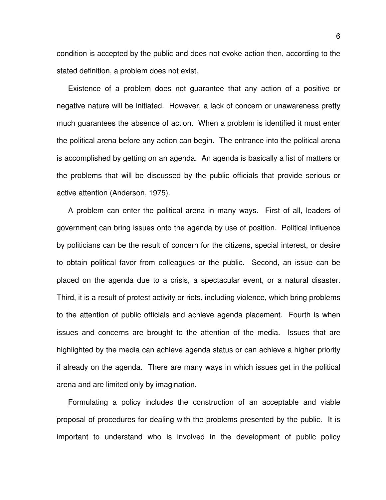condition is accepted by the public and does not evoke action then, according to the stated definition, a problem does not exist.

Existence of a problem does not guarantee that any action of a positive or negative nature will be initiated. However, a lack of concern or unawareness pretty much guarantees the absence of action. When a problem is identified it must enter the political arena before any action can begin. The entrance into the political arena is accomplished by getting on an agenda. An agenda is basically a list of matters or the problems that will be discussed by the public officials that provide serious or active attention (Anderson, 1975).

A problem can enter the political arena in many ways. First of all, leaders of government can bring issues onto the agenda by use of position. Political influence by politicians can be the result of concern for the citizens, special interest, or desire to obtain political favor from colleagues or the public. Second, an issue can be placed on the agenda due to a crisis, a spectacular event, or a natural disaster. Third, it is a result of protest activity or riots, including violence, which bring problems to the attention of public officials and achieve agenda placement. Fourth is when issues and concerns are brought to the attention of the media. Issues that are highlighted by the media can achieve agenda status or can achieve a higher priority if already on the agenda. There are many ways in which issues get in the political arena and are limited only by imagination.

Formulating a policy includes the construction of an acceptable and viable proposal of procedures for dealing with the problems presented by the public. It is important to understand who is involved in the development of public policy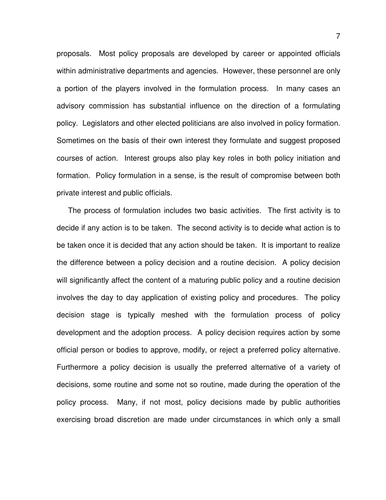proposals. Most policy proposals are developed by career or appointed officials within administrative departments and agencies. However, these personnel are only a portion of the players involved in the formulation process. In many cases an advisory commission has substantial influence on the direction of a formulating policy. Legislators and other elected politicians are also involved in policy formation. Sometimes on the basis of their own interest they formulate and suggest proposed courses of action. Interest groups also play key roles in both policy initiation and formation. Policy formulation in a sense, is the result of compromise between both private interest and public officials.

The process of formulation includes two basic activities. The first activity is to decide if any action is to be taken. The second activity is to decide what action is to be taken once it is decided that any action should be taken. It is important to realize the difference between a policy decision and a routine decision. A policy decision will significantly affect the content of a maturing public policy and a routine decision involves the day to day application of existing policy and procedures. The policy decision stage is typically meshed with the formulation process of policy development and the adoption process. A policy decision requires action by some official person or bodies to approve, modify, or reject a preferred policy alternative. Furthermore a policy decision is usually the preferred alternative of a variety of decisions, some routine and some not so routine, made during the operation of the policy process. Many, if not most, policy decisions made by public authorities exercising broad discretion are made under circumstances in which only a small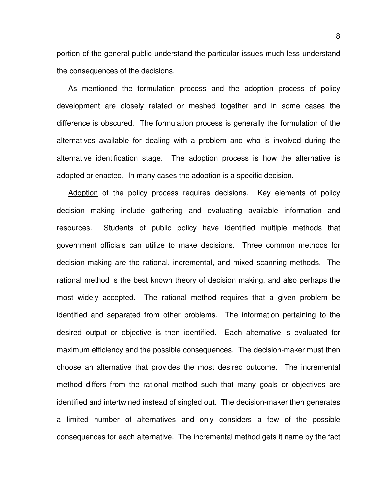portion of the general public understand the particular issues much less understand the consequences of the decisions.

As mentioned the formulation process and the adoption process of policy development are closely related or meshed together and in some cases the difference is obscured. The formulation process is generally the formulation of the alternatives available for dealing with a problem and who is involved during the alternative identification stage. The adoption process is how the alternative is adopted or enacted. In many cases the adoption is a specific decision.

Adoption of the policy process requires decisions. Key elements of policy decision making include gathering and evaluating available information and resources. Students of public policy have identified multiple methods that government officials can utilize to make decisions. Three common methods for decision making are the rational, incremental, and mixed scanning methods. The rational method is the best known theory of decision making, and also perhaps the most widely accepted. The rational method requires that a given problem be identified and separated from other problems. The information pertaining to the desired output or objective is then identified. Each alternative is evaluated for maximum efficiency and the possible consequences. The decision-maker must then choose an alternative that provides the most desired outcome. The incremental method differs from the rational method such that many goals or objectives are identified and intertwined instead of singled out. The decision-maker then generates a limited number of alternatives and only considers a few of the possible consequences for each alternative. The incremental method gets it name by the fact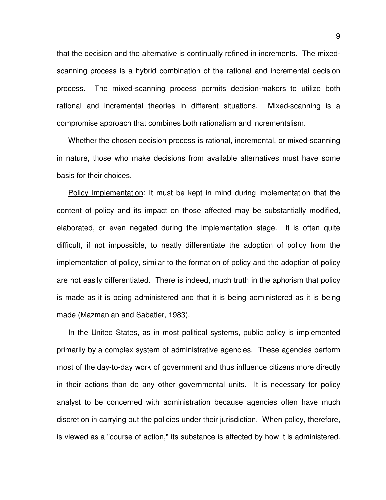that the decision and the alternative is continually refined in increments. The mixedscanning process is a hybrid combination of the rational and incremental decision process. The mixed-scanning process permits decision-makers to utilize both rational and incremental theories in different situations. Mixed-scanning is a compromise approach that combines both rationalism and incrementalism.

Whether the chosen decision process is rational, incremental, or mixed-scanning in nature, those who make decisions from available alternatives must have some basis for their choices.

Policy Implementation: It must be kept in mind during implementation that the content of policy and its impact on those affected may be substantially modified, elaborated, or even negated during the implementation stage. It is often quite difficult, if not impossible, to neatly differentiate the adoption of policy from the implementation of policy, similar to the formation of policy and the adoption of policy are not easily differentiated. There is indeed, much truth in the aphorism that policy is made as it is being administered and that it is being administered as it is being made (Mazmanian and Sabatier, 1983).

In the United States, as in most political systems, public policy is implemented primarily by a complex system of administrative agencies. These agencies perform most of the day-to-day work of government and thus influence citizens more directly in their actions than do any other governmental units. It is necessary for policy analyst to be concerned with administration because agencies often have much discretion in carrying out the policies under their jurisdiction. When policy, therefore, is viewed as a "course of action," its substance is affected by how it is administered.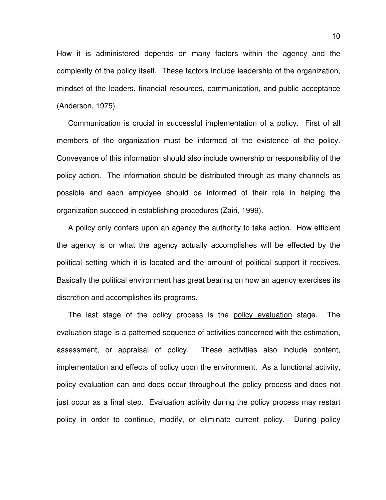How it is administered depends on many factors within the agency and the complexity of the policy itself. These factors include leadership of the organization, mindset of the leaders, financial resources, communication, and public acceptance (Anderson, 1975).

Communication is crucial in successful implementation of a policy. First of all members of the organization must be informed of the existence of the policy. Conveyance of this information should also include ownership or responsibility of the policy action. The information should be distributed through as many channels as possible and each employee should be informed of their role in helping the organization succeed in establishing procedures (Zairi, 1999).

A policy only confers upon an agency the authority to take action. How efficient the agency is or what the agency actually accomplishes will be effected by the political setting which it is located and the amount of political support it receives. Basically the political environment has great bearing on how an agency exercises its discretion and accomplishes its programs.

The last stage of the policy process is the policy evaluation stage. The evaluation stage is a patterned sequence of activities concerned with the estimation, assessment, or appraisal of policy. These activities also include content, implementation and effects of policy upon the environment. As a functional activity, policy evaluation can and does occur throughout the policy process and does not just occur as a final step. Evaluation activity during the policy process may restart policy in order to continue, modify, or eliminate current policy. During policy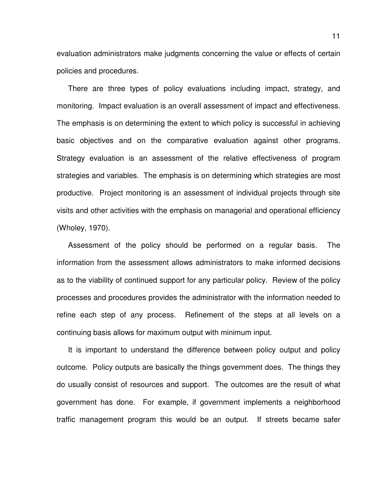evaluation administrators make judgments concerning the value or effects of certain policies and procedures.

There are three types of policy evaluations including impact, strategy, and monitoring. Impact evaluation is an overall assessment of impact and effectiveness. The emphasis is on determining the extent to which policy is successful in achieving basic objectives and on the comparative evaluation against other programs. Strategy evaluation is an assessment of the relative effectiveness of program strategies and variables. The emphasis is on determining which strategies are most productive. Project monitoring is an assessment of individual projects through site visits and other activities with the emphasis on managerial and operational efficiency (Wholey, 1970).

Assessment of the policy should be performed on a regular basis. The information from the assessment allows administrators to make informed decisions as to the viability of continued support for any particular policy. Review of the policy processes and procedures provides the administrator with the information needed to refine each step of any process. Refinement of the steps at all levels on a continuing basis allows for maximum output with minimum input.

It is important to understand the difference between policy output and policy outcome. Policy outputs are basically the things government does. The things they do usually consist of resources and support. The outcomes are the result of what government has done. For example, if government implements a neighborhood traffic management program this would be an output. If streets became safer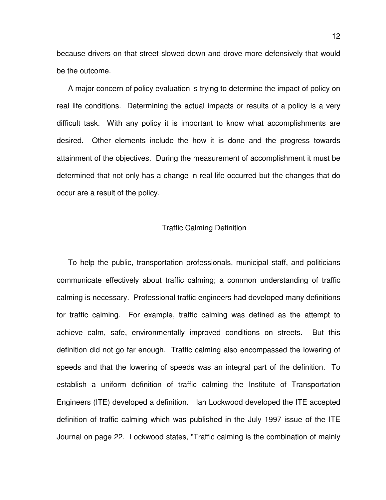because drivers on that street slowed down and drove more defensively that would be the outcome.

A major concern of policy evaluation is trying to determine the impact of policy on real life conditions. Determining the actual impacts or results of a policy is a very difficult task. With any policy it is important to know what accomplishments are desired. Other elements include the how it is done and the progress towards attainment of the objectives. During the measurement of accomplishment it must be determined that not only has a change in real life occurred but the changes that do occur are a result of the policy.

#### Traffic Calming Definition

To help the public, transportation professionals, municipal staff, and politicians communicate effectively about traffic calming; a common understanding of traffic calming is necessary. Professional traffic engineers had developed many definitions for traffic calming. For example, traffic calming was defined as the attempt to achieve calm, safe, environmentally improved conditions on streets. But this definition did not go far enough. Traffic calming also encompassed the lowering of speeds and that the lowering of speeds was an integral part of the definition. To establish a uniform definition of traffic calming the Institute of Transportation Engineers (ITE) developed a definition. Ian Lockwood developed the ITE accepted definition of traffic calming which was published in the July 1997 issue of the ITE Journal on page 22. Lockwood states, "Traffic calming is the combination of mainly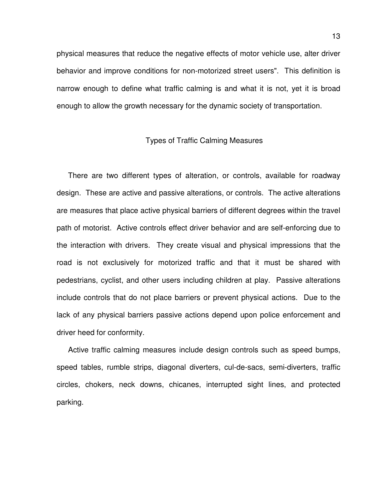physical measures that reduce the negative effects of motor vehicle use, alter driver behavior and improve conditions for non-motorized street users". This definition is narrow enough to define what traffic calming is and what it is not, yet it is broad enough to allow the growth necessary for the dynamic society of transportation.

#### Types of Traffic Calming Measures

There are two different types of alteration, or controls, available for roadway design. These are active and passive alterations, or controls. The active alterations are measures that place active physical barriers of different degrees within the travel path of motorist. Active controls effect driver behavior and are self-enforcing due to the interaction with drivers. They create visual and physical impressions that the road is not exclusively for motorized traffic and that it must be shared with pedestrians, cyclist, and other users including children at play. Passive alterations include controls that do not place barriers or prevent physical actions. Due to the lack of any physical barriers passive actions depend upon police enforcement and driver heed for conformity.

Active traffic calming measures include design controls such as speed bumps, speed tables, rumble strips, diagonal diverters, cul-de-sacs, semi-diverters, traffic circles, chokers, neck downs, chicanes, interrupted sight lines, and protected parking.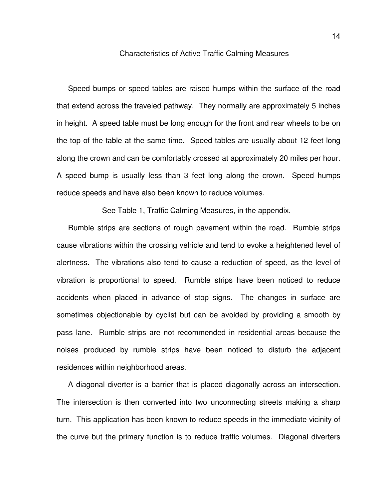#### Characteristics of Active Traffic Calming Measures

Speed bumps or speed tables are raised humps within the surface of the road that extend across the traveled pathway. They normally are approximately 5 inches in height. A speed table must be long enough for the front and rear wheels to be on the top of the table at the same time. Speed tables are usually about 12 feet long along the crown and can be comfortably crossed at approximately 20 miles per hour. A speed bump is usually less than 3 feet long along the crown. Speed humps reduce speeds and have also been known to reduce volumes.

See Table 1, Traffic Calming Measures, in the appendix.

Rumble strips are sections of rough pavement within the road. Rumble strips cause vibrations within the crossing vehicle and tend to evoke a heightened level of alertness. The vibrations also tend to cause a reduction of speed, as the level of vibration is proportional to speed. Rumble strips have been noticed to reduce accidents when placed in advance of stop signs. The changes in surface are sometimes objectionable by cyclist but can be avoided by providing a smooth by pass lane. Rumble strips are not recommended in residential areas because the noises produced by rumble strips have been noticed to disturb the adjacent residences within neighborhood areas.

A diagonal diverter is a barrier that is placed diagonally across an intersection. The intersection is then converted into two unconnecting streets making a sharp turn. This application has been known to reduce speeds in the immediate vicinity of the curve but the primary function is to reduce traffic volumes. Diagonal diverters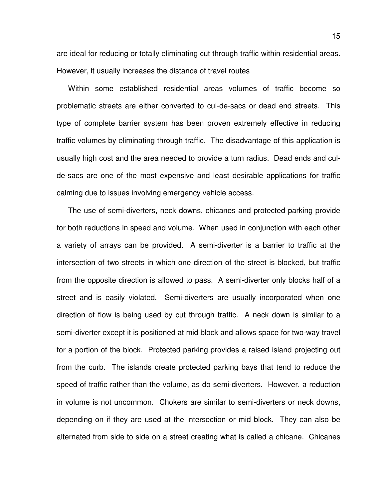are ideal for reducing or totally eliminating cut through traffic within residential areas. However, it usually increases the distance of travel routes

Within some established residential areas volumes of traffic become so problematic streets are either converted to cul-de-sacs or dead end streets. This type of complete barrier system has been proven extremely effective in reducing traffic volumes by eliminating through traffic. The disadvantage of this application is usually high cost and the area needed to provide a turn radius. Dead ends and culde-sacs are one of the most expensive and least desirable applications for traffic calming due to issues involving emergency vehicle access.

The use of semi-diverters, neck downs, chicanes and protected parking provide for both reductions in speed and volume. When used in conjunction with each other a variety of arrays can be provided. A semi-diverter is a barrier to traffic at the intersection of two streets in which one direction of the street is blocked, but traffic from the opposite direction is allowed to pass. A semi-diverter only blocks half of a street and is easily violated. Semi-diverters are usually incorporated when one direction of flow is being used by cut through traffic. A neck down is similar to a semi-diverter except it is positioned at mid block and allows space for two-way travel for a portion of the block. Protected parking provides a raised island projecting out from the curb. The islands create protected parking bays that tend to reduce the speed of traffic rather than the volume, as do semi-diverters. However, a reduction in volume is not uncommon. Chokers are similar to semi-diverters or neck downs, depending on if they are used at the intersection or mid block. They can also be alternated from side to side on a street creating what is called a chicane. Chicanes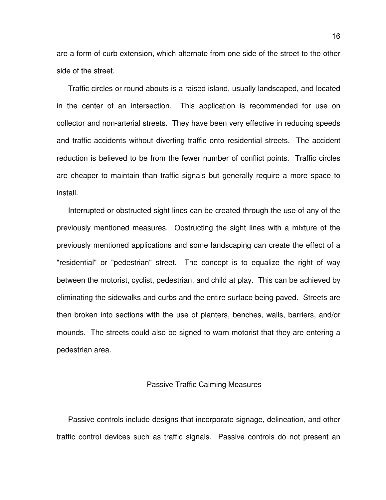are a form of curb extension, which alternate from one side of the street to the other side of the street.

Traffic circles or round-abouts is a raised island, usually landscaped, and located in the center of an intersection. This application is recommended for use on collector and non-arterial streets. They have been very effective in reducing speeds and traffic accidents without diverting traffic onto residential streets. The accident reduction is believed to be from the fewer number of conflict points. Traffic circles are cheaper to maintain than traffic signals but generally require a more space to install.

Interrupted or obstructed sight lines can be created through the use of any of the previously mentioned measures. Obstructing the sight lines with a mixture of the previously mentioned applications and some landscaping can create the effect of a "residential" or "pedestrian" street. The concept is to equalize the right of way between the motorist, cyclist, pedestrian, and child at play. This can be achieved by eliminating the sidewalks and curbs and the entire surface being paved. Streets are then broken into sections with the use of planters, benches, walls, barriers, and/or mounds. The streets could also be signed to warn motorist that they are entering a pedestrian area.

#### Passive Traffic Calming Measures

Passive controls include designs that incorporate signage, delineation, and other traffic control devices such as traffic signals. Passive controls do not present an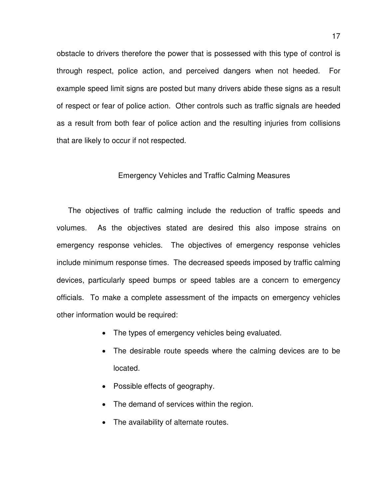obstacle to drivers therefore the power that is possessed with this type of control is through respect, police action, and perceived dangers when not heeded. For example speed limit signs are posted but many drivers abide these signs as a result of respect or fear of police action. Other controls such as traffic signals are heeded as a result from both fear of police action and the resulting injuries from collisions that are likely to occur if not respected.

#### Emergency Vehicles and Traffic Calming Measures

The objectives of traffic calming include the reduction of traffic speeds and volumes. As the objectives stated are desired this also impose strains on emergency response vehicles. The objectives of emergency response vehicles include minimum response times. The decreased speeds imposed by traffic calming devices, particularly speed bumps or speed tables are a concern to emergency officials. To make a complete assessment of the impacts on emergency vehicles other information would be required:

- The types of emergency vehicles being evaluated.
- The desirable route speeds where the calming devices are to be located.
- Possible effects of geography.
- The demand of services within the region.
- The availability of alternate routes.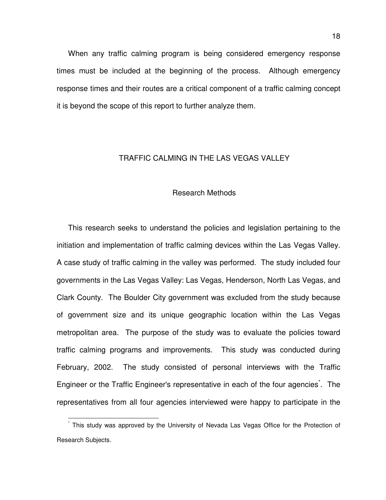When any traffic calming program is being considered emergency response times must be included at the beginning of the process. Although emergency response times and their routes are a critical component of a traffic calming concept it is beyond the scope of this report to further analyze them.

#### TRAFFIC CALMING IN THE LAS VEGAS VALLEY

#### Research Methods

This research seeks to understand the policies and legislation pertaining to the initiation and implementation of traffic calming devices within the Las Vegas Valley. A case study of traffic calming in the valley was performed. The study included four governments in the Las Vegas Valley: Las Vegas, Henderson, North Las Vegas, and Clark County. The Boulder City government was excluded from the study because of government size and its unique geographic location within the Las Vegas metropolitan area. The purpose of the study was to evaluate the policies toward traffic calming programs and improvements. This study was conducted during February, 2002. The study consisted of personal interviews with the Traffic Engineer or the Traffic Engineer's representative in each of the four agencies<sup>\*</sup>. The representatives from all four agencies interviewed were happy to participate in the

 $\overline{1}$ 

<sup>\*</sup> This study was approved by the University of Nevada Las Vegas Office for the Protection of Research Subjects.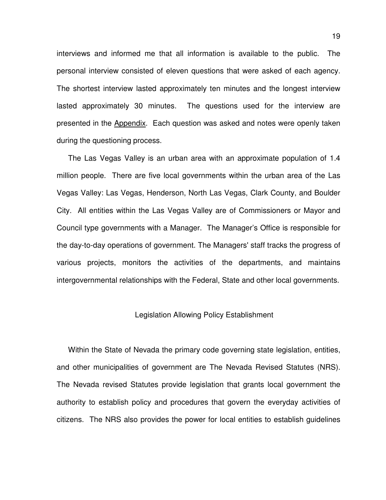interviews and informed me that all information is available to the public. The personal interview consisted of eleven questions that were asked of each agency. The shortest interview lasted approximately ten minutes and the longest interview lasted approximately 30 minutes. The questions used for the interview are presented in the Appendix. Each question was asked and notes were openly taken during the questioning process.

The Las Vegas Valley is an urban area with an approximate population of 1.4 million people. There are five local governments within the urban area of the Las Vegas Valley: Las Vegas, Henderson, North Las Vegas, Clark County, and Boulder City. All entities within the Las Vegas Valley are of Commissioners or Mayor and Council type governments with a Manager. The Manager's Office is responsible for the day-to-day operations of government. The Managers' staff tracks the progress of various projects, monitors the activities of the departments, and maintains intergovernmental relationships with the Federal, State and other local governments.

#### Legislation Allowing Policy Establishment

Within the State of Nevada the primary code governing state legislation, entities, and other municipalities of government are The Nevada Revised Statutes (NRS). The Nevada revised Statutes provide legislation that grants local government the authority to establish policy and procedures that govern the everyday activities of citizens. The NRS also provides the power for local entities to establish guidelines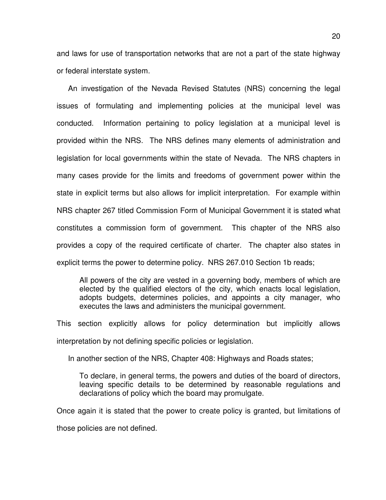and laws for use of transportation networks that are not a part of the state highway or federal interstate system.

An investigation of the Nevada Revised Statutes (NRS) concerning the legal issues of formulating and implementing policies at the municipal level was conducted. Information pertaining to policy legislation at a municipal level is provided within the NRS. The NRS defines many elements of administration and legislation for local governments within the state of Nevada. The NRS chapters in many cases provide for the limits and freedoms of government power within the state in explicit terms but also allows for implicit interpretation. For example within NRS chapter 267 titled Commission Form of Municipal Government it is stated what constitutes a commission form of government. This chapter of the NRS also provides a copy of the required certificate of charter. The chapter also states in explicit terms the power to determine policy. NRS 267.010 Section 1b reads;

All powers of the city are vested in a governing body, members of which are elected by the qualified electors of the city, which enacts local legislation, adopts budgets, determines policies, and appoints a city manager, who executes the laws and administers the municipal government.

This section explicitly allows for policy determination but implicitly allows interpretation by not defining specific policies or legislation.

In another section of the NRS, Chapter 408: Highways and Roads states;

To declare, in general terms, the powers and duties of the board of directors, leaving specific details to be determined by reasonable regulations and declarations of policy which the board may promulgate.

Once again it is stated that the power to create policy is granted, but limitations of

those policies are not defined.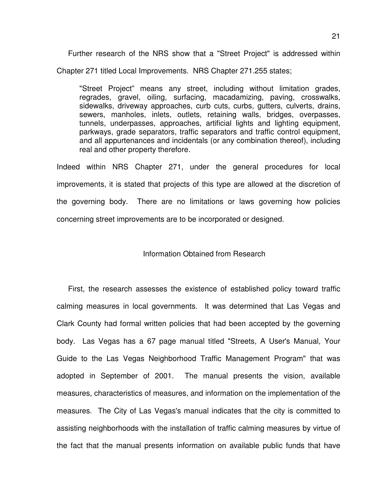Further research of the NRS show that a "Street Project" is addressed within Chapter 271 titled Local Improvements. NRS Chapter 271.255 states;

"Street Project" means any street, including without limitation grades, regrades, gravel, oiling, surfacing, macadamizing, paving, crosswalks, sidewalks, driveway approaches, curb cuts, curbs, gutters, culverts, drains, sewers, manholes, inlets, outlets, retaining walls, bridges, overpasses, tunnels, underpasses, approaches, artificial lights and lighting equipment, parkways, grade separators, traffic separators and traffic control equipment, and all appurtenances and incidentals (or any combination thereof), including real and other property therefore.

Indeed within NRS Chapter 271, under the general procedures for local improvements, it is stated that projects of this type are allowed at the discretion of the governing body. There are no limitations or laws governing how policies concerning street improvements are to be incorporated or designed.

Information Obtained from Research

First, the research assesses the existence of established policy toward traffic calming measures in local governments. It was determined that Las Vegas and Clark County had formal written policies that had been accepted by the governing body. Las Vegas has a 67 page manual titled "Streets, A User's Manual, Your Guide to the Las Vegas Neighborhood Traffic Management Program" that was adopted in September of 2001. The manual presents the vision, available measures, characteristics of measures, and information on the implementation of the measures. The City of Las Vegas's manual indicates that the city is committed to assisting neighborhoods with the installation of traffic calming measures by virtue of the fact that the manual presents information on available public funds that have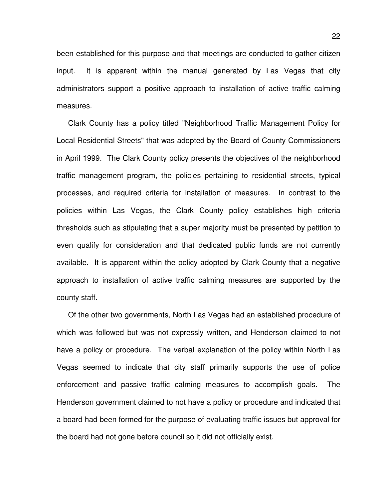been established for this purpose and that meetings are conducted to gather citizen input. It is apparent within the manual generated by Las Vegas that city administrators support a positive approach to installation of active traffic calming measures.

Clark County has a policy titled "Neighborhood Traffic Management Policy for Local Residential Streets" that was adopted by the Board of County Commissioners in April 1999. The Clark County policy presents the objectives of the neighborhood traffic management program, the policies pertaining to residential streets, typical processes, and required criteria for installation of measures. In contrast to the policies within Las Vegas, the Clark County policy establishes high criteria thresholds such as stipulating that a super majority must be presented by petition to even qualify for consideration and that dedicated public funds are not currently available. It is apparent within the policy adopted by Clark County that a negative approach to installation of active traffic calming measures are supported by the county staff.

Of the other two governments, North Las Vegas had an established procedure of which was followed but was not expressly written, and Henderson claimed to not have a policy or procedure. The verbal explanation of the policy within North Las Vegas seemed to indicate that city staff primarily supports the use of police enforcement and passive traffic calming measures to accomplish goals. The Henderson government claimed to not have a policy or procedure and indicated that a board had been formed for the purpose of evaluating traffic issues but approval for the board had not gone before council so it did not officially exist.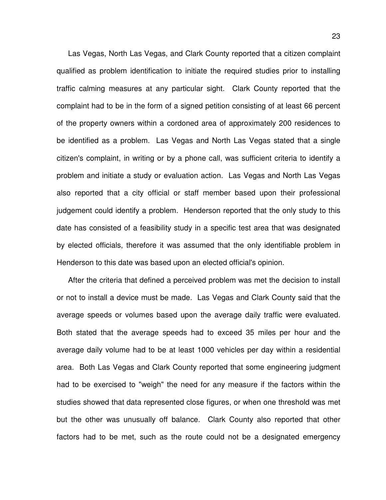Las Vegas, North Las Vegas, and Clark County reported that a citizen complaint qualified as problem identification to initiate the required studies prior to installing traffic calming measures at any particular sight. Clark County reported that the complaint had to be in the form of a signed petition consisting of at least 66 percent of the property owners within a cordoned area of approximately 200 residences to be identified as a problem. Las Vegas and North Las Vegas stated that a single citizen's complaint, in writing or by a phone call, was sufficient criteria to identify a problem and initiate a study or evaluation action. Las Vegas and North Las Vegas also reported that a city official or staff member based upon their professional judgement could identify a problem. Henderson reported that the only study to this date has consisted of a feasibility study in a specific test area that was designated by elected officials, therefore it was assumed that the only identifiable problem in Henderson to this date was based upon an elected official's opinion.

After the criteria that defined a perceived problem was met the decision to install or not to install a device must be made. Las Vegas and Clark County said that the average speeds or volumes based upon the average daily traffic were evaluated. Both stated that the average speeds had to exceed 35 miles per hour and the average daily volume had to be at least 1000 vehicles per day within a residential area. Both Las Vegas and Clark County reported that some engineering judgment had to be exercised to "weigh" the need for any measure if the factors within the studies showed that data represented close figures, or when one threshold was met but the other was unusually off balance. Clark County also reported that other factors had to be met, such as the route could not be a designated emergency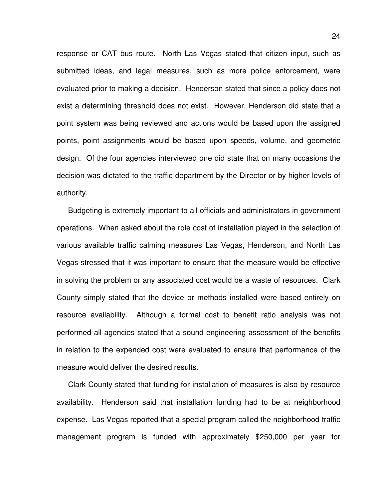response or CAT bus route. North Las Vegas stated that citizen input, such as submitted ideas, and legal measures, such as more police enforcement, were evaluated prior to making a decision. Henderson stated that since a policy does not exist a determining threshold does not exist. However, Henderson did state that a point system was being reviewed and actions would be based upon the assigned points, point assignments would be based upon speeds, volume, and geometric design. Of the four agencies interviewed one did state that on many occasions the decision was dictated to the traffic department by the Director or by higher levels of authority.

Budgeting is extremely important to all officials and administrators in government operations. When asked about the role cost of installation played in the selection of various available traffic calming measures Las Vegas, Henderson, and North Las Vegas stressed that it was important to ensure that the measure would be effective in solving the problem or any associated cost would be a waste of resources. Clark County simply stated that the device or methods installed were based entirely on resource availability. Although a formal cost to benefit ratio analysis was not performed all agencies stated that a sound engineering assessment of the benefits in relation to the expended cost were evaluated to ensure that performance of the measure would deliver the desired results.

Clark County stated that funding for installation of measures is also by resource availability. Henderson said that installation funding had to be at neighborhood expense. Las Vegas reported that a special program called the neighborhood traffic management program is funded with approximately \$250,000 per year for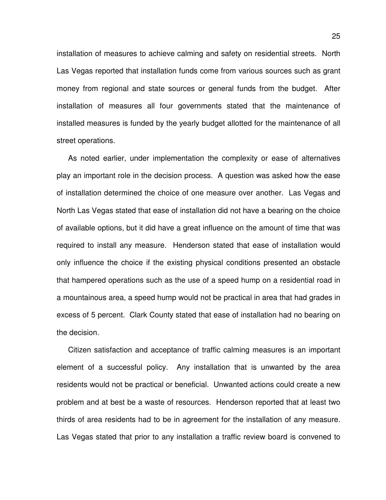installation of measures to achieve calming and safety on residential streets. North Las Vegas reported that installation funds come from various sources such as grant money from regional and state sources or general funds from the budget. After installation of measures all four governments stated that the maintenance of installed measures is funded by the yearly budget allotted for the maintenance of all street operations.

As noted earlier, under implementation the complexity or ease of alternatives play an important role in the decision process. A question was asked how the ease of installation determined the choice of one measure over another. Las Vegas and North Las Vegas stated that ease of installation did not have a bearing on the choice of available options, but it did have a great influence on the amount of time that was required to install any measure. Henderson stated that ease of installation would only influence the choice if the existing physical conditions presented an obstacle that hampered operations such as the use of a speed hump on a residential road in a mountainous area, a speed hump would not be practical in area that had grades in excess of 5 percent. Clark County stated that ease of installation had no bearing on the decision.

Citizen satisfaction and acceptance of traffic calming measures is an important element of a successful policy. Any installation that is unwanted by the area residents would not be practical or beneficial. Unwanted actions could create a new problem and at best be a waste of resources. Henderson reported that at least two thirds of area residents had to be in agreement for the installation of any measure. Las Vegas stated that prior to any installation a traffic review board is convened to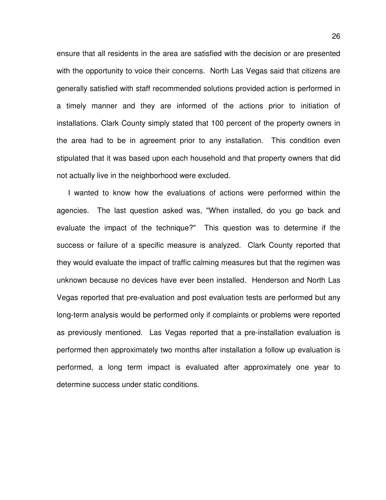ensure that all residents in the area are satisfied with the decision or are presented with the opportunity to voice their concerns. North Las Vegas said that citizens are generally satisfied with staff recommended solutions provided action is performed in a timely manner and they are informed of the actions prior to initiation of installations. Clark County simply stated that 100 percent of the property owners in the area had to be in agreement prior to any installation. This condition even stipulated that it was based upon each household and that property owners that did not actually live in the neighborhood were excluded.

I wanted to know how the evaluations of actions were performed within the agencies. The last question asked was, "When installed, do you go back and evaluate the impact of the technique?" This question was to determine if the success or failure of a specific measure is analyzed. Clark County reported that they would evaluate the impact of traffic calming measures but that the regimen was unknown because no devices have ever been installed. Henderson and North Las Vegas reported that pre-evaluation and post evaluation tests are performed but any long-term analysis would be performed only if complaints or problems were reported as previously mentioned. Las Vegas reported that a pre-installation evaluation is performed then approximately two months after installation a follow up evaluation is performed, a long term impact is evaluated after approximately one year to determine success under static conditions.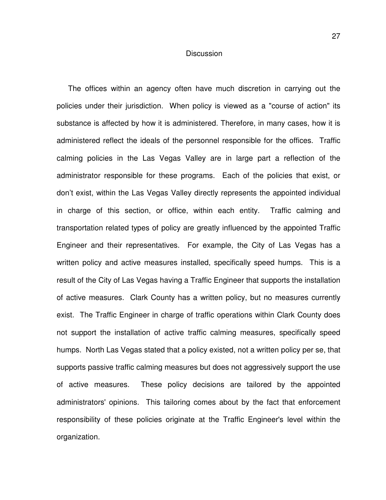#### **Discussion**

The offices within an agency often have much discretion in carrying out the policies under their jurisdiction. When policy is viewed as a "course of action" its substance is affected by how it is administered. Therefore, in many cases, how it is administered reflect the ideals of the personnel responsible for the offices. Traffic calming policies in the Las Vegas Valley are in large part a reflection of the administrator responsible for these programs. Each of the policies that exist, or don't exist, within the Las Vegas Valley directly represents the appointed individual in charge of this section, or office, within each entity. Traffic calming and transportation related types of policy are greatly influenced by the appointed Traffic Engineer and their representatives. For example, the City of Las Vegas has a written policy and active measures installed, specifically speed humps. This is a result of the City of Las Vegas having a Traffic Engineer that supports the installation of active measures. Clark County has a written policy, but no measures currently exist. The Traffic Engineer in charge of traffic operations within Clark County does not support the installation of active traffic calming measures, specifically speed humps. North Las Vegas stated that a policy existed, not a written policy per se, that supports passive traffic calming measures but does not aggressively support the use of active measures. These policy decisions are tailored by the appointed administrators' opinions. This tailoring comes about by the fact that enforcement responsibility of these policies originate at the Traffic Engineer's level within the organization.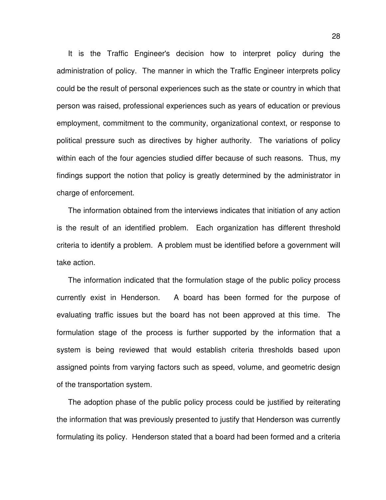It is the Traffic Engineer's decision how to interpret policy during the administration of policy. The manner in which the Traffic Engineer interprets policy could be the result of personal experiences such as the state or country in which that person was raised, professional experiences such as years of education or previous employment, commitment to the community, organizational context, or response to political pressure such as directives by higher authority. The variations of policy within each of the four agencies studied differ because of such reasons. Thus, my findings support the notion that policy is greatly determined by the administrator in charge of enforcement.

The information obtained from the interviews indicates that initiation of any action is the result of an identified problem. Each organization has different threshold criteria to identify a problem. A problem must be identified before a government will take action.

The information indicated that the formulation stage of the public policy process currently exist in Henderson. A board has been formed for the purpose of evaluating traffic issues but the board has not been approved at this time. The formulation stage of the process is further supported by the information that a system is being reviewed that would establish criteria thresholds based upon assigned points from varying factors such as speed, volume, and geometric design of the transportation system.

The adoption phase of the public policy process could be justified by reiterating the information that was previously presented to justify that Henderson was currently formulating its policy. Henderson stated that a board had been formed and a criteria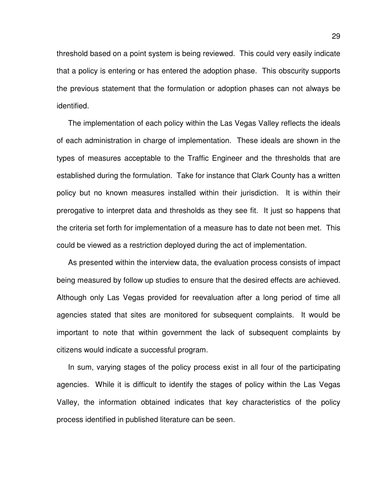threshold based on a point system is being reviewed. This could very easily indicate that a policy is entering or has entered the adoption phase. This obscurity supports the previous statement that the formulation or adoption phases can not always be identified.

The implementation of each policy within the Las Vegas Valley reflects the ideals of each administration in charge of implementation. These ideals are shown in the types of measures acceptable to the Traffic Engineer and the thresholds that are established during the formulation. Take for instance that Clark County has a written policy but no known measures installed within their jurisdiction. It is within their prerogative to interpret data and thresholds as they see fit. It just so happens that the criteria set forth for implementation of a measure has to date not been met. This could be viewed as a restriction deployed during the act of implementation.

As presented within the interview data, the evaluation process consists of impact being measured by follow up studies to ensure that the desired effects are achieved. Although only Las Vegas provided for reevaluation after a long period of time all agencies stated that sites are monitored for subsequent complaints. It would be important to note that within government the lack of subsequent complaints by citizens would indicate a successful program.

In sum, varying stages of the policy process exist in all four of the participating agencies. While it is difficult to identify the stages of policy within the Las Vegas Valley, the information obtained indicates that key characteristics of the policy process identified in published literature can be seen.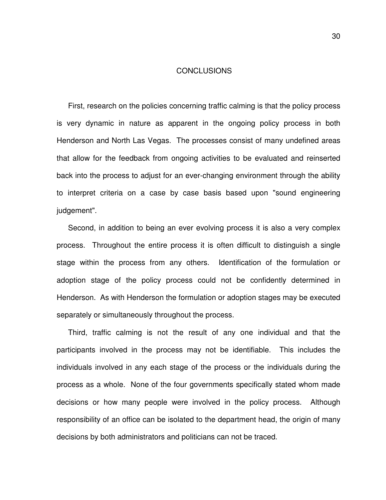#### CONCLUSIONS

First, research on the policies concerning traffic calming is that the policy process is very dynamic in nature as apparent in the ongoing policy process in both Henderson and North Las Vegas. The processes consist of many undefined areas that allow for the feedback from ongoing activities to be evaluated and reinserted back into the process to adjust for an ever-changing environment through the ability to interpret criteria on a case by case basis based upon "sound engineering judgement".

Second, in addition to being an ever evolving process it is also a very complex process. Throughout the entire process it is often difficult to distinguish a single stage within the process from any others. Identification of the formulation or adoption stage of the policy process could not be confidently determined in Henderson. As with Henderson the formulation or adoption stages may be executed separately or simultaneously throughout the process.

Third, traffic calming is not the result of any one individual and that the participants involved in the process may not be identifiable. This includes the individuals involved in any each stage of the process or the individuals during the process as a whole. None of the four governments specifically stated whom made decisions or how many people were involved in the policy process. Although responsibility of an office can be isolated to the department head, the origin of many decisions by both administrators and politicians can not be traced.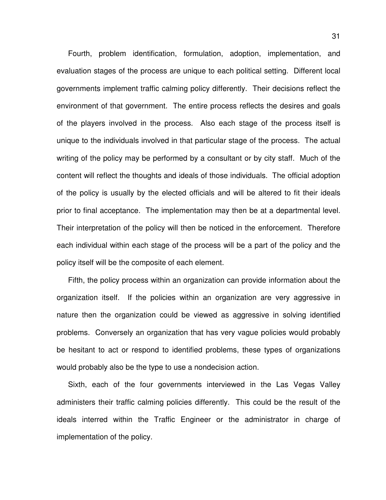Fourth, problem identification, formulation, adoption, implementation, and evaluation stages of the process are unique to each political setting. Different local governments implement traffic calming policy differently. Their decisions reflect the environment of that government. The entire process reflects the desires and goals of the players involved in the process. Also each stage of the process itself is unique to the individuals involved in that particular stage of the process. The actual writing of the policy may be performed by a consultant or by city staff. Much of the content will reflect the thoughts and ideals of those individuals. The official adoption of the policy is usually by the elected officials and will be altered to fit their ideals prior to final acceptance. The implementation may then be at a departmental level. Their interpretation of the policy will then be noticed in the enforcement. Therefore each individual within each stage of the process will be a part of the policy and the policy itself will be the composite of each element.

Fifth, the policy process within an organization can provide information about the organization itself. If the policies within an organization are very aggressive in nature then the organization could be viewed as aggressive in solving identified problems. Conversely an organization that has very vague policies would probably be hesitant to act or respond to identified problems, these types of organizations would probably also be the type to use a nondecision action.

Sixth, each of the four governments interviewed in the Las Vegas Valley administers their traffic calming policies differently. This could be the result of the ideals interred within the Traffic Engineer or the administrator in charge of implementation of the policy.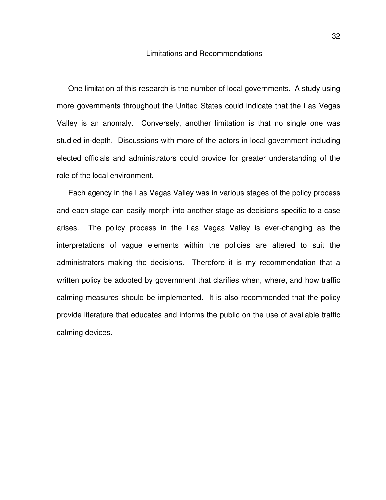#### Limitations and Recommendations

One limitation of this research is the number of local governments. A study using more governments throughout the United States could indicate that the Las Vegas Valley is an anomaly. Conversely, another limitation is that no single one was studied in-depth. Discussions with more of the actors in local government including elected officials and administrators could provide for greater understanding of the role of the local environment.

Each agency in the Las Vegas Valley was in various stages of the policy process and each stage can easily morph into another stage as decisions specific to a case arises. The policy process in the Las Vegas Valley is ever-changing as the interpretations of vague elements within the policies are altered to suit the administrators making the decisions. Therefore it is my recommendation that a written policy be adopted by government that clarifies when, where, and how traffic calming measures should be implemented. It is also recommended that the policy provide literature that educates and informs the public on the use of available traffic calming devices.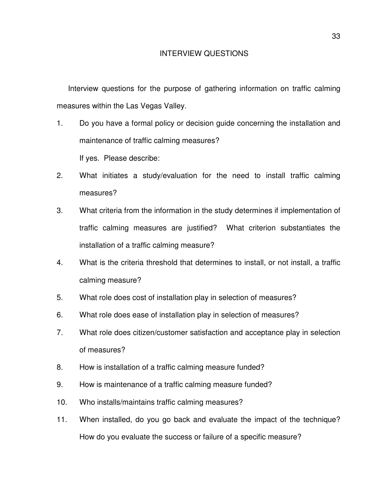Interview questions for the purpose of gathering information on traffic calming measures within the Las Vegas Valley.

- 1. Do you have a formal policy or decision guide concerning the installation and maintenance of traffic calming measures? If yes. Please describe:
- 2. What initiates a study/evaluation for the need to install traffic calming measures?
- 3. What criteria from the information in the study determines if implementation of traffic calming measures are justified? What criterion substantiates the installation of a traffic calming measure?
- 4. What is the criteria threshold that determines to install, or not install, a traffic calming measure?
- 5. What role does cost of installation play in selection of measures?
- 6. What role does ease of installation play in selection of measures?
- 7. What role does citizen/customer satisfaction and acceptance play in selection of measures?
- 8. How is installation of a traffic calming measure funded?
- 9. How is maintenance of a traffic calming measure funded?
- 10. Who installs/maintains traffic calming measures?
- 11. When installed, do you go back and evaluate the impact of the technique? How do you evaluate the success or failure of a specific measure?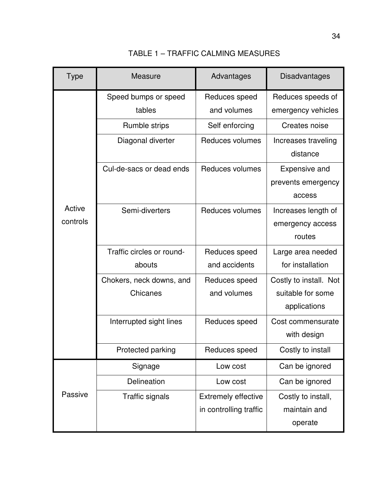| <b>Type</b>        | <b>Measure</b>                       | Advantages                                           | Disadvantages                                               |
|--------------------|--------------------------------------|------------------------------------------------------|-------------------------------------------------------------|
|                    | Speed bumps or speed<br>tables       | Reduces speed<br>and volumes                         | Reduces speeds of<br>emergency vehicles                     |
|                    | Rumble strips                        | Self enforcing                                       | Creates noise                                               |
|                    | Diagonal diverter                    | Reduces volumes                                      | Increases traveling<br>distance                             |
|                    | Cul-de-sacs or dead ends             | Reduces volumes                                      | <b>Expensive and</b><br>prevents emergency<br>access        |
| Active<br>controls | Semi-diverters                       | Reduces volumes                                      | Increases length of<br>emergency access<br>routes           |
|                    | Traffic circles or round-<br>abouts  | Reduces speed<br>and accidents                       | Large area needed<br>for installation                       |
|                    | Chokers, neck downs, and<br>Chicanes | Reduces speed<br>and volumes                         | Costly to install. Not<br>suitable for some<br>applications |
|                    | Interrupted sight lines              | Reduces speed                                        | Cost commensurate<br>with design                            |
|                    | Protected parking                    | Reduces speed                                        | Costly to install                                           |
|                    | Signage                              | Low cost                                             | Can be ignored                                              |
|                    | Delineation                          | Low cost                                             | Can be ignored                                              |
| Passive            | <b>Traffic signals</b>               | <b>Extremely effective</b><br>in controlling traffic | Costly to install,<br>maintain and<br>operate               |

TABLE 1 – TRAFFIC CALMING MEASURES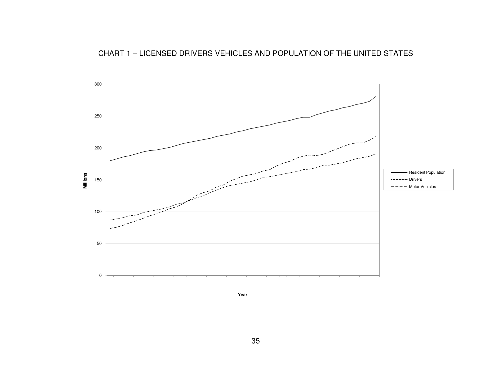

**Year**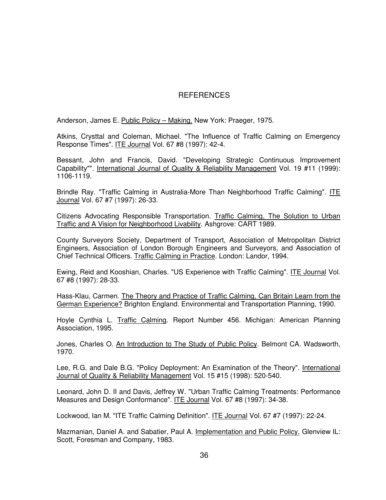#### REFERENCES

Anderson, James E. Public Policy – Making. New York: Praeger, 1975.

Atkins, Crysttal and Coleman, Michael. "The Influence of Traffic Calming on Emergency Response Times". ITE Journal Vol. 67 #8 (1997): 42-4.

Bessant, John and Francis, David. "Developing Strategic Continuous Improvement Capability"". International Journal of Quality & Reliability Management Vol. 19 #11 (1999): 1106-1119.

Brindle Ray. "Traffic Calming in Australia-More Than Neighborhood Traffic Calming". ITE Journal Vol. 67 #7 (1997): 26-33.

Citizens Advocating Responsible Transportation. Traffic Calming, The Solution to Urban Traffic and A Vision for Neighborhood Livability. Ashgrove: CART 1989.

County Surveyors Society, Department of Transport, Association of Metropolitan District Engineers, Association of London Borough Engineers and Surveyors, and Association of Chief Technical Officers. Traffic Calming in Practice. London: Landor, 1994.

Ewing, Reid and Kooshian, Charles. "US Experience with Traffic Calming". ITE Journal Vol. 67 #8 (1997): 28-33.

Hass-Klau, Carmen. The Theory and Practice of Traffic Calming, Can Britain Learn from the German Experience? Brighton England. Environmental and Transportation Planning, 1990.

Hoyle Cynthia L. Traffic Calming. Report Number 456. Michigan: American Planning Association, 1995.

Jones, Charles O. An Introduction to The Study of Public Policy. Belmont CA. Wadsworth, 1970.

Lee, R.G. and Dale B.G. "Policy Deployment: An Examination of the Theory". International Journal of Quality & Reliability Management Vol. 15 #15 (1998): 520-540.

Leonard, John D. II and Davis, Jeffrey W. "Urban Traffic Calming Treatments: Performance Measures and Design Conformance". ITE Journal Vol. 67 #8 (1997): 34-38.

Lockwood, Ian M. "ITE Traffic Calming Definition". ITE Journal Vol. 67 #7 (1997): 22-24.

Mazmanian, Daniel A. and Sabatier, Paul A. Implementation and Public Policy. Glenview IL: Scott, Foresman and Company, 1983.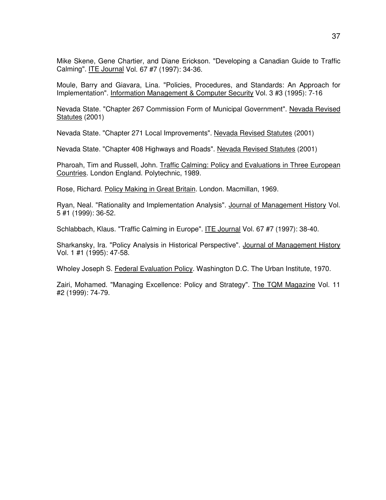Mike Skene, Gene Chartier, and Diane Erickson. "Developing a Canadian Guide to Traffic Calming". ITE Journal Vol. 67 #7 (1997): 34-36.

Moule, Barry and Giavara, Lina. "Policies, Procedures, and Standards: An Approach for Implementation". Information Management & Computer Security Vol. 3 #3 (1995): 7-16

Nevada State. "Chapter 267 Commission Form of Municipal Government". Nevada Revised Statutes (2001)

Nevada State. "Chapter 271 Local Improvements". Nevada Revised Statutes (2001)

Nevada State. "Chapter 408 Highways and Roads". Nevada Revised Statutes (2001)

Pharoah, Tim and Russell, John. Traffic Calming: Policy and Evaluations in Three European Countries. London England. Polytechnic, 1989.

Rose, Richard. Policy Making in Great Britain. London. Macmillan, 1969.

Ryan, Neal. "Rationality and Implementation Analysis". Journal of Management History Vol. 5 #1 (1999): 36-52.

Schlabbach, Klaus. "Traffic Calming in Europe". ITE Journal Vol. 67 #7 (1997): 38-40.

Sharkansky, Ira. "Policy Analysis in Historical Perspective". Journal of Management History Vol. 1 #1 (1995): 47-58.

Wholey Joseph S. Federal Evaluation Policy. Washington D.C. The Urban Institute, 1970.

Zairi, Mohamed. "Managing Excellence: Policy and Strategy". The TQM Magazine Vol. 11 #2 (1999): 74-79.